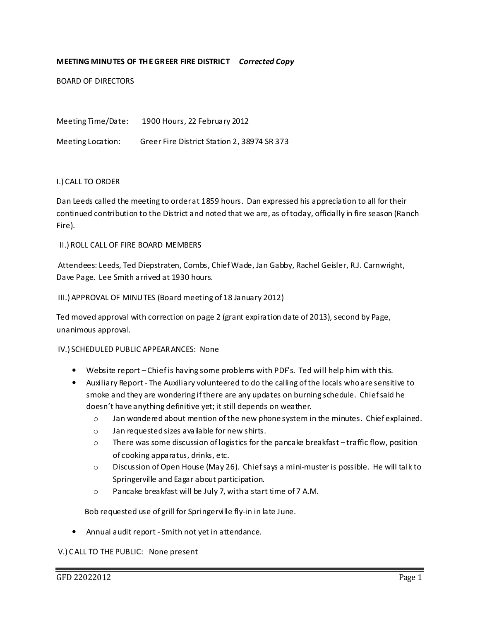# MEETING MINUTES OF THE GREER FIRE DISTRICT Corrected Copy

BOARD OF DIRECTORS

Meeting Time/Date: 1900 Hours, 22 February 2012

Meeting Location: Greer Fire District Station 2, 38974 SR 373

### I.) CALL TO ORDER

Dan Leeds called the meeting to order at 1859 hours. Dan expressed his appreciation to all for their continued contribution to the District and noted that we are, as of today, officially in fire season (Ranch Fire).

### II.) ROLL CALL OF FIRE BOARD MEMBERS

 Attendees: Leeds, Ted Diepstraten, Combs, Chief Wade, Jan Gabby, Rachel Geisler, R.J. Carnwright, Dave Page. Lee Smith arrived at 1930 hours.

### III.) APPROVAL OF MINUTES (Board meeting of 18 January 2012)

Ted moved approval with correction on page 2 (grant expiration date of 2013), second by Page, unanimous approval.

## IV.) SCHEDULED PUBLIC APPEARANCES: None

- Website report Chief is having some problems with PDF's. Ted will help him with this.
- Auxiliary Report The Auxiliary volunteered to do the calling of the locals who are sensitive to smoke and they are wondering if there are any updates on burning schedule. Chief said he doesn't have anything definitive yet; it still depends on weather.
	- $\circ$  Jan wondered about mention of the new phone system in the minutes. Chief explained.
	- o Jan requested sizes available for new shirts.
	- $\circ$  There was some discussion of logistics for the pancake breakfast traffic flow, position of cooking apparatus, drinks, etc.
	- o Discussion of Open House (May 26). Chief says a mini-muster is possible. He will talk to Springerville and Eagar about participation.
	- o Pancake breakfast will be July 7, with a start time of 7 A.M.

Bob requested use of grill for Springerville fly-in in late June.

• Annual audit report - Smith not yet in attendance.

#### V.) CALL TO THE PUBLIC: None present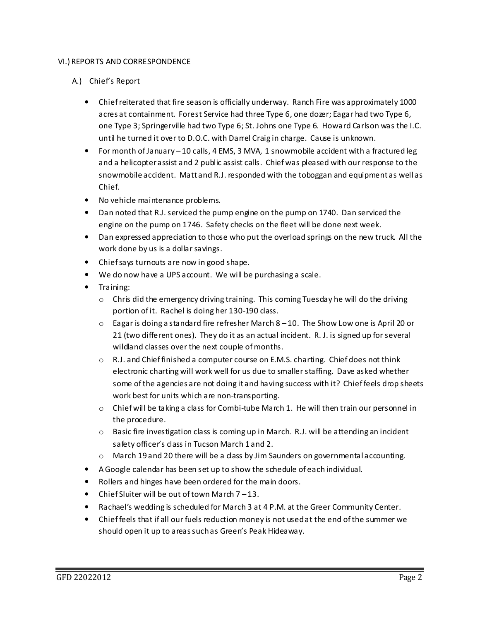## VI.) REPORTS AND CORRESPONDENCE

- A.) Chief's Report
	- Chief reiterated that fire season is officially underway. Ranch Fire was approximately 1000 acres at containment. Forest Service had three Type 6, one dozer; Eagar had two Type 6, one Type 3; Springerville had two Type 6; St. Johns one Type 6. Howard Carlson was the I.C. until he turned it over to D.O.C. with Darrel Craig in charge. Cause is unknown.
	- For month of January 10 calls, 4 EMS, 3 MVA, 1 snowmobile accident with a fractured leg and a helicopter assist and 2 public assist calls. Chief was pleased with our response to the snowmobile accident. Matt and R.J. responded with the toboggan and equipment as well as Chief.
	- No vehicle maintenance problems.
	- Dan noted that R.J. serviced the pump engine on the pump on 1740. Dan serviced the engine on the pump on 1746. Safety checks on the fleet will be done next week.
	- Dan expressed appreciation to those who put the overload springs on the new truck. All the work done by us is a dollar savings.
	- Chief says turnouts are now in good shape.
	- We do now have a UPS account. We will be purchasing a scale.
	- Training:
		- $\circ$  Chris did the emergency driving training. This coming Tuesday he will do the driving portion of it. Rachel is doing her 130-190 class.
		- $\circ$  Eagar is doing a standard fire refresher March 8 10. The Show Low one is April 20 or 21 (two different ones). They do it as an actual incident. R. J. is signed up for several wildland classes over the next couple of months.
		- $\circ$  R.J. and Chief finished a computer course on E.M.S. charting. Chief does not think electronic charting will work well for us due to smaller staffing. Dave asked whether some of the agencies are not doing it and having success with it? Chief feels drop sheets work best for units which are non-transporting.
		- o Chief will be taking a class for Combi-tube March 1. He will then train our personnel in the procedure.
		- $\circ$  Basic fire investigation class is coming up in March. R.J. will be attending an incident safety officer's class in Tucson March 1 and 2.
		- $\circ$  March 19 and 20 there will be a class by Jim Saunders on governmental accounting.
	- A Google calendar has been set up to show the schedule of each individual.
	- Rollers and hinges have been ordered for the main doors.
	- Chief Sluiter will be out of town March 7 13.
	- Rachael's wedding is scheduled for March 3 at 4 P.M. at the Greer Community Center.
	- Chief feels that if all our fuels reduction money is not used at the end of the summer we should open it up to areas such as Green's Peak Hideaway.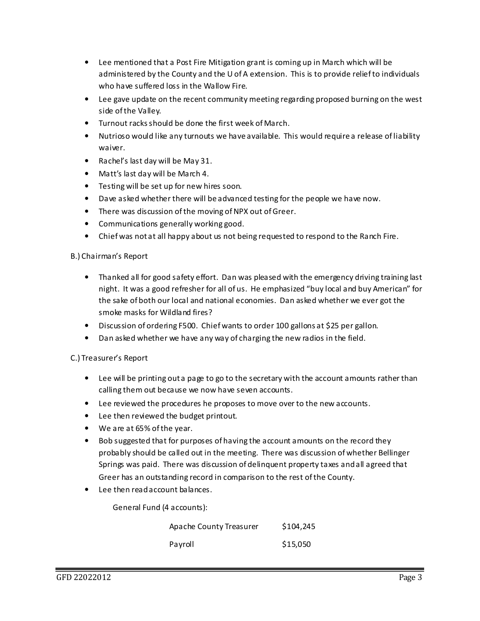- Lee mentioned that a Post Fire Mitigation grant is coming up in March which will be administered by the County and the U of A extension. This is to provide relief to individuals who have suffered loss in the Wallow Fire.
- Lee gave update on the recent community meeting regarding proposed burning on the west side of the Valley.
- Turnout racks should be done the first week of March.
- Nutrioso would like any turnouts we have available. This would require a release of liability waiver.
- Rachel's last day will be May 31.
- Matt's last day will be March 4.
- Testing will be set up for new hires soon.
- Dave asked whether there will be advanced testing for the people we have now.
- There was discussion of the moving of NPX out of Greer.
- Communications generally working good.
- Chief was not at all happy about us not being requested to respond to the Ranch Fire.

# B.) Chairman's Report

- Thanked all for good safety effort. Dan was pleased with the emergency driving training last night. It was a good refresher for all of us. He emphasized "buy local and buy American" for the sake of both our local and national economies. Dan asked whether we ever got the smoke masks for Wildland fires?
- Discussion of ordering F500. Chief wants to order 100 gallons at \$25 per gallon.
- Dan asked whether we have any way of charging the new radios in the field.

# C.) Treasurer's Report

- Lee will be printing out a page to go to the secretary with the account amounts rather than calling them out because we now have seven accounts.
- Lee reviewed the procedures he proposes to move over to the new accounts.
- Lee then reviewed the budget printout.
- We are at 65% of the year.
- Bob suggested that for purposes of having the account amounts on the record they probably should be called out in the meeting. There was discussion of whether Bellinger Springs was paid. There was discussion of delinquent property taxes and all agreed that Greer has an outstanding record in comparison to the rest of the County.
- Lee then read account balances.

General Fund (4 accounts):

| Apache County Treasurer | \$104,245 |
|-------------------------|-----------|
| Pavroll                 | \$15,050  |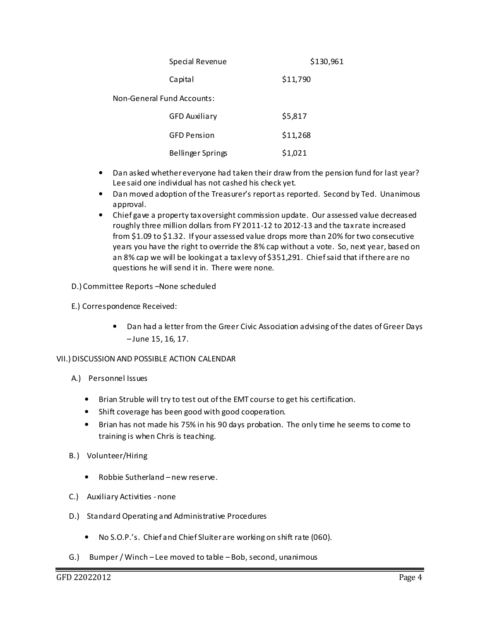| Special Revenue            | \$130,961 |  |
|----------------------------|-----------|--|
| Capital                    | \$11,790  |  |
| Non-General Fund Accounts: |           |  |
| <b>GFD Auxiliary</b>       | \$5,817   |  |
| <b>GFD Pension</b>         | \$11,268  |  |

Bellinger Springs 51,021

- Dan asked whether everyone had taken their draw from the pension fund for last year? Lee said one individual has not cashed his check yet.
- Dan moved adoption of the Treasurer's report as reported. Second by Ted. Unanimous approval.
- Chief gave a property tax oversight commission update. Our assessed value decreased roughly three million dollars from FY 2011-12 to 2012-13 and the tax rate increased from \$1.09 to \$1.32. If your assessed value drops more than 20% for two consecutive years you have the right to override the 8% cap without a vote. So, next year, based on an 8% cap we will be looking at a tax levy of \$351,291. Chief said that if there are no questions he will send it in. There were none.

D.) Committee Reports –None scheduled

- E.) Correspondence Received:
	- Dan had a letter from the Greer Civic Association advising of the dates of Greer Days – June 15, 16, 17.

## VII.) DISCUSSION AND POSSIBLE ACTION CALENDAR

- A.) Personnel Issues
	- Brian Struble will try to test out of the EMT course to get his certification.
	- Shift coverage has been good with good cooperation.
	- Brian has not made his 75% in his 90 days probation. The only time he seems to come to training is when Chris is teaching.
- B.) Volunteer/Hiring
	- Robbie Sutherland new reserve.
- C.) Auxiliary Activities none
- D.) Standard Operating and Administrative Procedures
	- No S.O.P.'s. Chief and Chief Sluiter are working on shift rate (060).
- G.) Bumper / Winch Lee moved to table Bob, second, unanimous